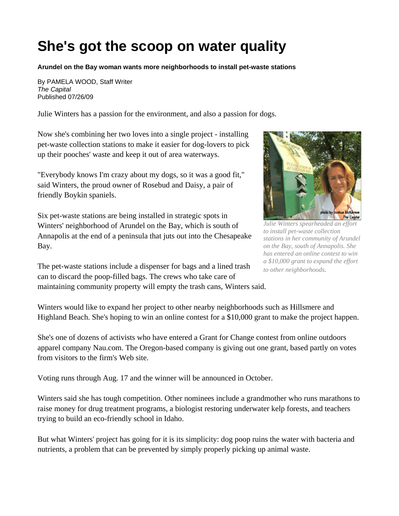## **She's got the scoop on water quality**

**Arundel on the Bay woman wants more neighborhoods to install pet-waste stations** 

By PAMELA WOOD, Staff Writer *The Capital*  Published 07/26/09

Julie Winters has a passion for the environment, and also a passion for dogs.

Now she's combining her two loves into a single project - installing pet-waste collection stations to make it easier for dog-lovers to pick up their pooches' waste and keep it out of area waterways.

"Everybody knows I'm crazy about my dogs, so it was a good fit," said Winters, the proud owner of Rosebud and Daisy, a pair of friendly Boykin spaniels.

Six pet-waste stations are being installed in strategic spots in Winters' neighborhood of Arundel on the Bay, which is south of Annapolis at the end of a peninsula that juts out into the Chesapeake Bay.

The pet-waste stations include a dispenser for bags and a lined trash can to discard the poop-filled bags. The crews who take care of maintaining community property will empty the trash cans, Winters said.



*Julie Winters spearheaded an effort to install pet-waste collection stations in her community of Arundel on the Bay, south of Annapolis. She has entered an online contest to win a \$10,000 grant to expand the effort to other neighborhoods.* 

Winters would like to expand her project to other nearby neighborhoods such as Hillsmere and Highland Beach. She's hoping to win an online contest for a \$10,000 grant to make the project happen.

She's one of dozens of activists who have entered a Grant for Change contest from online outdoors apparel company Nau.com. The Oregon-based company is giving out one grant, based partly on votes from visitors to the firm's Web site.

Voting runs through Aug. 17 and the winner will be announced in October.

Winters said she has tough competition. Other nominees include a grandmother who runs marathons to raise money for drug treatment programs, a biologist restoring underwater kelp forests, and teachers trying to build an eco-friendly school in Idaho.

But what Winters' project has going for it is its simplicity: dog poop ruins the water with bacteria and nutrients, a problem that can be prevented by simply properly picking up animal waste.